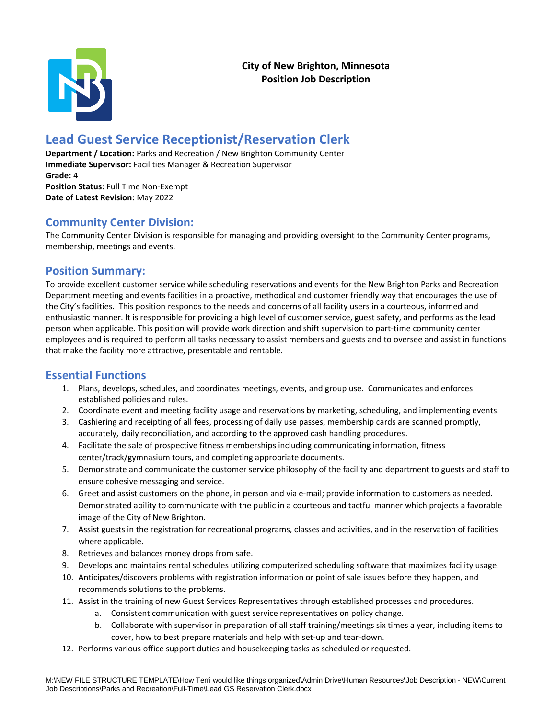

# **Lead Guest Service Receptionist/Reservation Clerk**

**Department / Location:** Parks and Recreation / New Brighton Community Center **Immediate Supervisor:** Facilities Manager & Recreation Supervisor **Grade:** 4 **Position Status:** Full Time Non-Exempt **Date of Latest Revision:** May 2022

## **Community Center Division:**

The Community Center Division is responsible for managing and providing oversight to the Community Center programs, membership, meetings and events.

#### **Position Summary:**

To provide excellent customer service while scheduling reservations and events for the New Brighton Parks and Recreation Department meeting and events facilities in a proactive, methodical and customer friendly way that encourages the use of the City's facilities. This position responds to the needs and concerns of all facility users in a courteous, informed and enthusiastic manner. It is responsible for providing a high level of customer service, guest safety, and performs as the lead person when applicable. This position will provide work direction and shift supervision to part-time community center employees and is required to perform all tasks necessary to assist members and guests and to oversee and assist in functions that make the facility more attractive, presentable and rentable.

## **Essential Functions**

- 1. Plans, develops, schedules, and coordinates meetings, events, and group use. Communicates and enforces established policies and rules.
- 2. Coordinate event and meeting facility usage and reservations by marketing, scheduling, and implementing events.
- 3. Cashiering and receipting of all fees, processing of daily use passes, membership cards are scanned promptly, accurately, daily reconciliation, and according to the approved cash handling procedures.
- 4. Facilitate the sale of prospective fitness memberships including communicating information, fitness center/track/gymnasium tours, and completing appropriate documents.
- 5. Demonstrate and communicate the customer service philosophy of the facility and department to guests and staff to ensure cohesive messaging and service.
- 6. Greet and assist customers on the phone, in person and via e‐mail; provide information to customers as needed. Demonstrated ability to communicate with the public in a courteous and tactful manner which projects a favorable image of the City of New Brighton.
- 7. Assist guests in the registration for recreational programs, classes and activities, and in the reservation of facilities where applicable.
- 8. Retrieves and balances money drops from safe.
- 9. Develops and maintains rental schedules utilizing computerized scheduling software that maximizes facility usage.
- 10. Anticipates/discovers problems with registration information or point of sale issues before they happen, and recommends solutions to the problems.
- 11. Assist in the training of new Guest Services Representatives through established processes and procedures.
	- a. Consistent communication with guest service representatives on policy change.
	- b. Collaborate with supervisor in preparation of all staff training/meetings six times a year, including items to cover, how to best prepare materials and help with set-up and tear-down.
- 12. Performs various office support duties and housekeeping tasks as scheduled or requested.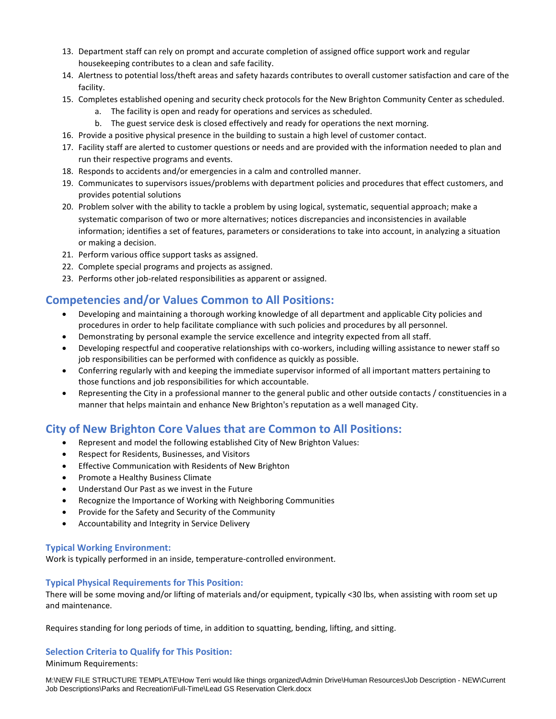- 13. Department staff can rely on prompt and accurate completion of assigned office support work and regular housekeeping contributes to a clean and safe facility.
- 14. Alertness to potential loss/theft areas and safety hazards contributes to overall customer satisfaction and care of the facility.
- 15. Completes established opening and security check protocols for the New Brighton Community Center as scheduled.
	- a. The facility is open and ready for operations and services as scheduled.
	- b. The guest service desk is closed effectively and ready for operations the next morning.
- 16. Provide a positive physical presence in the building to sustain a high level of customer contact.
- 17. Facility staff are alerted to customer questions or needs and are provided with the information needed to plan and run their respective programs and events.
- 18. Responds to accidents and/or emergencies in a calm and controlled manner.
- 19. Communicates to supervisors issues/problems with department policies and procedures that effect customers, and provides potential solutions
- 20. Problem solver with the ability to tackle a problem by using logical, systematic, sequential approach; make a systematic comparison of two or more alternatives; notices discrepancies and inconsistencies in available information; identifies a set of features, parameters or considerations to take into account, in analyzing a situation or making a decision.
- 21. Perform various office support tasks as assigned.
- 22. Complete special programs and projects as assigned.
- 23. Performs other job-related responsibilities as apparent or assigned.

## **Competencies and/or Values Common to All Positions:**

- Developing and maintaining a thorough working knowledge of all department and applicable City policies and procedures in order to help facilitate compliance with such policies and procedures by all personnel.
- Demonstrating by personal example the service excellence and integrity expected from all staff.
- Developing respectful and cooperative relationships with co-workers, including willing assistance to newer staff so job responsibilities can be performed with confidence as quickly as possible.
- Conferring regularly with and keeping the immediate supervisor informed of all important matters pertaining to those functions and job responsibilities for which accountable.
- Representing the City in a professional manner to the general public and other outside contacts / constituencies in a manner that helps maintain and enhance New Brighton's reputation as a well managed City.

## **City of New Brighton Core Values that are Common to All Positions:**

- Represent and model the following established City of New Brighton Values:
- Respect for Residents, Businesses, and Visitors
- **•** Effective Communication with Residents of New Brighton
- Promote a Healthy Business Climate
- Understand Our Past as we invest in the Future
- Recognize the Importance of Working with Neighboring Communities
- Provide for the Safety and Security of the Community
- Accountability and Integrity in Service Delivery

#### **Typical Working Environment:**

Work is typically performed in an inside, temperature-controlled environment.

#### **Typical Physical Requirements for This Position:**

There will be some moving and/or lifting of materials and/or equipment, typically <30 lbs, when assisting with room set up and maintenance.

Requires standing for long periods of time, in addition to squatting, bending, lifting, and sitting.

#### **Selection Criteria to Qualify for This Position:**

Minimum Requirements:

M:\NEW FILE STRUCTURE TEMPLATE\How Terri would like things organized\Admin Drive\Human Resources\Job Description - NEW\Current Job Descriptions\Parks and Recreation\Full-Time\Lead GS Reservation Clerk.docx